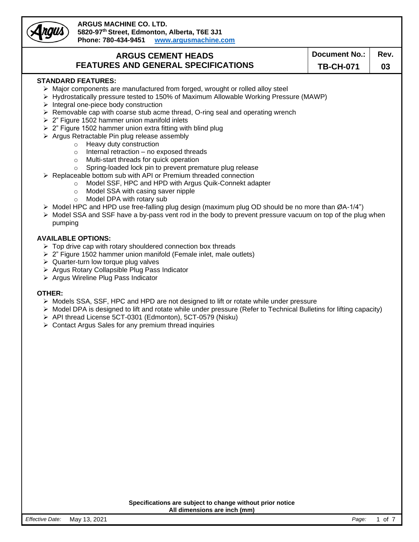row

### **ARGUS MACHINE CO. LTD. 5820-97th Street, Edmonton, Alberta, T6E 3J1 Phone: 780-434-9451 [www.argusmachine.com](http://www.argusmachine.com/)**

### **ARGUS CEMENT HEADS FEATURES AND GENERAL SPECIFICATIONS**

**TB-CH-071 03**

### **STANDARD FEATURES:**

- ➢ Major components are manufactured from forged, wrought or rolled alloy steel
- ➢ Hydrostatically pressure tested to 150% of Maximum Allowable Working Pressure (MAWP)
- ➢ Integral one-piece body construction
- ➢ Removable cap with coarse stub acme thread, O-ring seal and operating wrench
- ➢ 2" Figure 1502 hammer union manifold inlets
- $\geq 2$ " Figure 1502 hammer union extra fitting with blind plug
- ➢ Argus Retractable Pin plug release assembly
	- o Heavy duty construction
	- o Internal retraction no exposed threads
	- o Multi-start threads for quick operation
	- o Spring-loaded lock pin to prevent premature plug release
- ➢ Replaceable bottom sub with API or Premium threaded connection
	- o Model SSF, HPC and HPD with Argus Quik-Connekt adapter
	- o Model SSA with casing saver nipple
	- o Model DPA with rotary sub
- $\triangleright$  Model HPC and HPD use free-falling plug design (maximum plug OD should be no more than ØA-1/4")
- ➢ Model SSA and SSF have a by-pass vent rod in the body to prevent pressure vacuum on top of the plug when pumping

### **AVAILABLE OPTIONS:**

- $\triangleright$  Top drive cap with rotary shouldered connection box threads
- ➢ 2" Figure 1502 hammer union manifold (Female inlet, male outlets)
- ➢ Quarter-turn low torque plug valves
- ➢ Argus Rotary Collapsible Plug Pass Indicator
- ➢ Argus Wireline Plug Pass Indicator

### **OTHER:**

- $\triangleright$  Models SSA, SSF, HPC and HPD are not designed to lift or rotate while under pressure
- ➢ Model DPA is designed to lift and rotate while under pressure (Refer to Technical Bulletins for lifting capacity)
- ➢ API thread License 5CT-0301 (Edmonton), 5CT-0579 (Nisku)
- ➢ Contact Argus Sales for any premium thread inquiries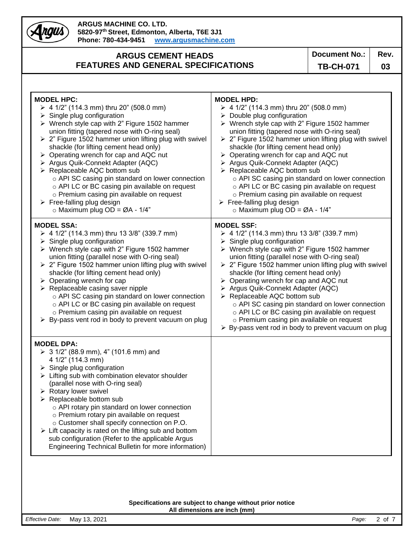Angus)

## **ARGUS CEMENT HEADS FEATURES AND GENERAL SPECIFICATIONS**

**TB-CH-071 03**

| <b>MODEL HPC:</b><br>$\geq 4$ 1/2" (114.3 mm) thru 20" (508.0 mm)<br>Single plug configuration<br>➤<br>$\triangleright$ Wrench style cap with 2" Figure 1502 hammer<br>union fitting (tapered nose with O-ring seal)<br>$\geq$ 2" Figure 1502 hammer union lifting plug with swivel<br>shackle (for lifting cement head only)<br>$\triangleright$ Operating wrench for cap and AQC nut<br>Argus Quik-Connekt Adapter (AQC)<br>> Replaceable AQC bottom sub<br>o API SC casing pin standard on lower connection<br>o API LC or BC casing pin available on request<br>o Premium casing pin available on request<br>$\triangleright$ Free-falling plug design<br>$\circ$ Maximum plug OD = ØA - 1/4" | <b>MODEL HPD:</b><br>$\triangleright$ 4 1/2" (114.3 mm) thru 20" (508.0 mm)<br>$\triangleright$ Double plug configuration<br>$\triangleright$ Wrench style cap with 2" Figure 1502 hammer<br>union fitting (tapered nose with O-ring seal)<br>$\geq$ 2" Figure 1502 hammer union lifting plug with swivel<br>shackle (for lifting cement head only)<br>$\triangleright$ Operating wrench for cap and AQC nut<br>> Argus Quik-Connekt Adapter (AQC)<br>> Replaceable AQC bottom sub<br>o API SC casing pin standard on lower connection<br>o API LC or BC casing pin available on request<br>o Premium casing pin available on request<br>$\triangleright$ Free-falling plug design<br>$\circ$ Maximum plug OD = ØA - 1/4" |
|---------------------------------------------------------------------------------------------------------------------------------------------------------------------------------------------------------------------------------------------------------------------------------------------------------------------------------------------------------------------------------------------------------------------------------------------------------------------------------------------------------------------------------------------------------------------------------------------------------------------------------------------------------------------------------------------------|---------------------------------------------------------------------------------------------------------------------------------------------------------------------------------------------------------------------------------------------------------------------------------------------------------------------------------------------------------------------------------------------------------------------------------------------------------------------------------------------------------------------------------------------------------------------------------------------------------------------------------------------------------------------------------------------------------------------------|
| <b>MODEL SSA:</b><br>$\geq 4$ 1/2" (114.3 mm) thru 13 3/8" (339.7 mm)<br>Single plug configuration<br>➤<br>> Wrench style cap with 2" Figure 1502 hammer<br>union fitting (parallel nose with O-ring seal)<br>$\geq$ 2" Figure 1502 hammer union lifting plug with swivel<br>shackle (for lifting cement head only)<br>$\triangleright$ Operating wrench for cap<br>$\triangleright$ Replaceable casing saver nipple<br>o API SC casing pin standard on lower connection<br>o API LC or BC casing pin available on request<br>o Premium casing pin available on request<br>> By-pass vent rod in body to prevent vacuum on plug                                                                   | <b>MODEL SSF:</b><br>$\triangleright$ 4 1/2" (114.3 mm) thru 13 3/8" (339.7 mm)<br>$\triangleright$ Single plug configuration<br>$\triangleright$ Wrench style cap with 2" Figure 1502 hammer<br>union fitting (parallel nose with O-ring seal)<br>$\geq$ 2" Figure 1502 hammer union lifting plug with swivel<br>shackle (for lifting cement head only)<br>$\triangleright$ Operating wrench for cap and AQC nut<br>> Argus Quik-Connekt Adapter (AQC)<br>> Replaceable AQC bottom sub<br>o API SC casing pin standard on lower connection<br>o API LC or BC casing pin available on request<br>o Premium casing pin available on request<br>> By-pass vent rod in body to prevent vacuum on plug                        |
| <b>MODEL DPA:</b><br>$\geq 3$ 1/2" (88.9 mm), 4" (101.6 mm) and<br>4 1/2" (114.3 mm)<br>$\triangleright$ Single plug configuration<br>$\triangleright$ Lifting sub with combination elevator shoulder<br>(parallel nose with O-ring seal)<br>$\triangleright$ Rotary lower swivel<br>$\triangleright$ Replaceable bottom sub<br>o API rotary pin standard on lower connection<br>o Premium rotary pin available on request<br>o Customer shall specify connection on P.O.<br>$\triangleright$ Lift capacity is rated on the lifting sub and bottom<br>sub configuration (Refer to the applicable Argus<br>Engineering Technical Bulletin for more information)                                    |                                                                                                                                                                                                                                                                                                                                                                                                                                                                                                                                                                                                                                                                                                                           |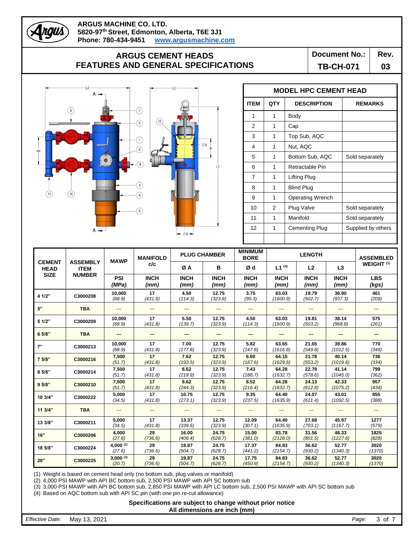## **ARGUS CEMENT HEADS FEATURES AND GENERAL SPECIFICATIONS**

**Document No.:** | Rev.

**TB-CH-071 03**



Angus

|             | <b>MODEL HPC CEMENT HEAD</b> |                         |                    |  |  |  |  |  |  |  |
|-------------|------------------------------|-------------------------|--------------------|--|--|--|--|--|--|--|
| <b>ITEM</b> | <b>QTY</b>                   | <b>DESCRIPTION</b>      | <b>REMARKS</b>     |  |  |  |  |  |  |  |
| 1           | 1                            | Body                    |                    |  |  |  |  |  |  |  |
| 2           | 1                            | Cap                     |                    |  |  |  |  |  |  |  |
| 3           | 1                            | Top Sub, AQC            |                    |  |  |  |  |  |  |  |
| 4           | 1                            | Nut, AQC                |                    |  |  |  |  |  |  |  |
| 5           | 1                            | Bottom Sub, AQC         | Sold separately    |  |  |  |  |  |  |  |
| 6           | 1                            | Retractable Pin         |                    |  |  |  |  |  |  |  |
| 7           | 1                            | Lifting Plug            |                    |  |  |  |  |  |  |  |
| 8           | 1                            | <b>Blind Plug</b>       |                    |  |  |  |  |  |  |  |
| 9           | 1                            | <b>Operating Wrench</b> |                    |  |  |  |  |  |  |  |
| 10          | 2                            | Plug Valve              | Sold separately    |  |  |  |  |  |  |  |
| 11          | 1                            | Manifold                | Sold separately    |  |  |  |  |  |  |  |
| 12          | 1                            | Cementing Plug          | Supplied by others |  |  |  |  |  |  |  |
|             |                              |                         |                    |  |  |  |  |  |  |  |

|                              |                                | <b>MAWP</b>             | <b>MANIFOLD</b>     | <b>PLUG CHAMBER</b> |                     | <b>MINIMUM</b><br><b>BORE</b> |                     | <b>LENGTH</b>       |                     | <b>ASSEMBLED</b>      |
|------------------------------|--------------------------------|-------------------------|---------------------|---------------------|---------------------|-------------------------------|---------------------|---------------------|---------------------|-----------------------|
| <b>CEMENT</b><br><b>HEAD</b> | <b>ASSEMBLY</b><br><b>ITEM</b> |                         | c/c                 | ØA                  | в                   | Ød                            | $L1^{(4)}$          | L <sub>2</sub>      | L3                  | WEIGHT <sup>(1)</sup> |
| <b>SIZE</b>                  | <b>NUMBER</b>                  | PSI<br>(MPa)            | <b>INCH</b><br>(mm) | <b>INCH</b><br>(mm) | <b>INCH</b><br>(mm) | <b>INCH</b><br>(mm)           | <b>INCH</b><br>(mm) | <b>INCH</b><br>(mm) | <b>INCH</b><br>(mm) | <b>LBS</b><br>(kgs)   |
| 4 1/2"                       | C3000208                       | 10,000<br>(68.9)        | 17<br>(431.8)       | 4.50<br>(114.3)     | 12.75<br>(323.9)    | 3.75<br>(95.3)                | 63.03<br>(1600.9)   | 19.79<br>(502.7)    | 36.90<br>(937.3)    | 461<br>(209)          |
| 5"                           | <b>TBA</b>                     | ---                     | ---                 | ---                 |                     | ---                           |                     |                     |                     |                       |
| 5 1/2"                       | C3000209                       | 10.000<br>(68.9)        | 17<br>(431.8)       | 5.50<br>(139.7)     | 12.75<br>(323.9)    | 4.50<br>(114.3)               | 63.03<br>(1600.9)   | 19.81<br>(503.2)    | 38.14<br>(968.8)    | 575<br>(261)          |
| 6 5/8"                       | <b>TBA</b>                     | ---                     | ---                 | ---                 | ---                 | ---                           | ---                 |                     |                     | ---                   |
| 7"                           | C3000213                       | 10,000<br>(68.9)        | 17<br>(431.8)       | 7.00<br>(177.8)     | 12.75<br>(323.9)    | 5.82<br>(147.8)               | 63.65<br>(1616.8)   | 21.65<br>(549.8)    | 39.86<br>(1012.5)   | 770<br>(349)          |
| 7 5/8"                       | C3000216                       | 7,500<br>(51.7)         | 17<br>(431.8)       | 7.62<br>(193.5)     | 12.75<br>(323.9)    | 6.60<br>(167.6)               | 64.15<br>(1629.5)   | 21.78<br>(553.2)    | 40.14<br>(1019.6)   | 736<br>(334)          |
| 85/8"                        | C3000214                       | 7,500<br>(51.7)         | 17<br>(431.8)       | 8.62<br>(218.9)     | 12.75<br>(323.9)    | 7.43<br>(188.7)               | 64.28<br>(1632.7)   | 22.78<br>(578.6)    | 41.14<br>(1045.0)   | 799<br>(362)          |
| 9.5/8"                       | C3000210                       | 7,500<br>(51.7)         | 17<br>(431.8)       | 9.62<br>(244.3)     | 12.75<br>(323.9)    | 8.52<br>(216.4)               | 64.28<br>(1632.7)   | 24.13<br>(612.8)    | 42.33<br>(1075.2)   | 957<br>(434)          |
| 10 3/4"                      | C3000222                       | 5,000<br>(34.5)         | 17<br>(431.8)       | 10.75<br>(273.1)    | 12.75<br>(323.9)    | 9.35<br>(237.5)               | 64.40<br>(1635.9)   | 24.07<br>(611.4)    | 43.01<br>(1092.5)   | 855<br>(388)          |
| 113/4"                       | <b>TBA</b>                     | ---                     | ---                 | ---                 |                     | ---                           | ---                 | $---$               |                     | ---                   |
| 13 3/8"                      | C3000211                       | 5,000<br>(34.5)         | 17<br>(431.8)       | 13.37<br>(339.6)    | 12.75<br>(323.9)    | 12.09<br>(307.1)              | 64.40<br>(1635.9)   | 27.68<br>(703.1)    | 45.97<br>(1167.7)   | 1277<br>(579)         |
| 16"                          | C3000206                       | 4,000<br>(27.6)         | 29<br>(736.6)       | 16.00<br>(406.4)    | 24.75<br>(628.7)    | 15.00<br>(381.0)              | 83.78<br>(2128.0)   | 31.56<br>(801.5)    | 48.33<br>(1227.6)   | 1825<br>(828)         |
| 18 5/8"                      | C3000224                       | $4,000^{(2)}$<br>(27.6) | 29<br>(736.6)       | 19.87<br>(504.7)    | 24.75<br>(628.7)    | 17.37<br>(441.2)              | 84.83<br>(2154.7)   | 36.62<br>(930.2)    | 52.77<br>(1340.3)   | 3020<br>(1370)        |
| 20"                          | C3000225                       | $3,000^{(3)}$<br>(20.7) | 29<br>(736.6)       | 19.87<br>(504.7)    | 24.75<br>(628.7)    | 17.75<br>(450.9)              | 84.83<br>(2154.7)   | 36.62<br>(930.2)    | 52.77<br>(1340.3)   | 3020<br>(1370)        |

Г

(1) Weight is based on cement head only (no bottom sub, plug valves or manifold)

(2) 4,000 PSI MAWP with API BC bottom sub, 2,500 PSI MAWP with API SC bottom sub

(3) 3,000 PSI MAWP with API BC bottom sub, 2,850 PSI MAWP with API LC bottom sub, 2,500 PSI MAWP with API SC bottom sub

(4) Based on AQC bottom sub with API SC pin (with one pin re-cut allowance)

**Specifications are subject to change without prior notice All dimensions are inch (mm)**

*Effective Date:* May 13, 2021 *Page:* 3 of 7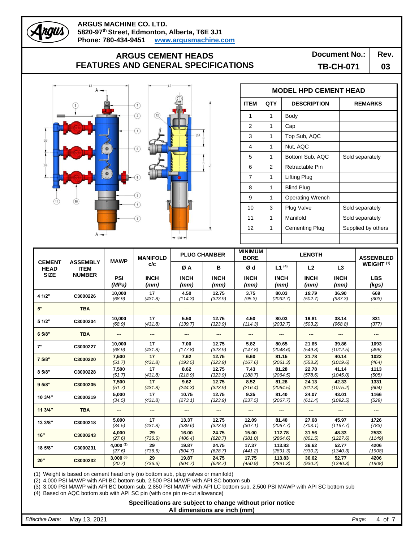## **ARGUS CEMENT HEADS FEATURES AND GENERAL SPECIFICATIONS**

**Document No.:** | Rev.

**TB-CH-071 03**



ngus

|                | <b>MODEL HPD CEMENT HEAD</b> |                         |                    |  |  |  |  |  |  |  |
|----------------|------------------------------|-------------------------|--------------------|--|--|--|--|--|--|--|
| <b>ITEM</b>    | QTY                          | <b>DESCRIPTION</b>      | <b>REMARKS</b>     |  |  |  |  |  |  |  |
| 1              | 1                            | Body                    |                    |  |  |  |  |  |  |  |
| $\overline{2}$ | 1                            | Cap                     |                    |  |  |  |  |  |  |  |
| 3              | 1                            | Top Sub, AQC            |                    |  |  |  |  |  |  |  |
| 4              | 1                            | Nut, AQC                |                    |  |  |  |  |  |  |  |
| 5              | 1                            | Bottom Sub, AQC         | Sold separately    |  |  |  |  |  |  |  |
| 6              | 2                            | Retractable Pin         |                    |  |  |  |  |  |  |  |
| 7              | 1                            | Lifting Plug            |                    |  |  |  |  |  |  |  |
| 8              | 1                            | <b>Blind Plug</b>       |                    |  |  |  |  |  |  |  |
| 9              | 1                            | <b>Operating Wrench</b> |                    |  |  |  |  |  |  |  |
| 10             | 3                            | Plug Valve              | Sold separately    |  |  |  |  |  |  |  |
| 11             | 1                            | Manifold                | Sold separately    |  |  |  |  |  |  |  |
| 12             | 1                            | Cementing Plug          | Supplied by others |  |  |  |  |  |  |  |
|                |                              |                         |                    |  |  |  |  |  |  |  |

|                              |                                | <b>MAWP</b>             | <b>MANIFOLD</b>     | <b>PLUG CHAMBER</b> |                     | <b>MINIMUM</b><br><b>BORE</b> |                     | <b>LENGTH</b>       |                     | <b>ASSEMBLED</b>      |
|------------------------------|--------------------------------|-------------------------|---------------------|---------------------|---------------------|-------------------------------|---------------------|---------------------|---------------------|-----------------------|
| <b>CEMENT</b><br><b>HEAD</b> | <b>ASSEMBLY</b><br><b>ITEM</b> |                         | c/c                 | ØA                  | в                   | Ød                            | $L1^{(4)}$          | L <sub>2</sub>      | L3                  | WEIGHT <sup>(1)</sup> |
| <b>SIZE</b>                  | <b>NUMBER</b>                  | PSI<br>(MPa)            | <b>INCH</b><br>(mm) | <b>INCH</b><br>(mm) | <b>INCH</b><br>(mm) | <b>INCH</b><br>(mm)           | <b>INCH</b><br>(mm) | <b>INCH</b><br>(mm) | <b>INCH</b><br>(mm) | <b>LBS</b><br>(kgs)   |
| 4 1/2"                       | C3000226                       | 10,000<br>(68.9)        | 17<br>(431.8)       | 4.50<br>(114.3)     | 12.75<br>(323.9)    | 3.75<br>(95.3)                | 80.03<br>(2032.7)   | 19.79<br>(502.7)    | 36.90<br>(937.3)    | 669<br>(303)          |
| 5"                           | <b>TBA</b>                     | ---                     | ---                 | ---                 |                     | ---                           | ---                 | $---$               | ---                 | $--$                  |
| 5 1/2"                       | C3000204                       | 10.000<br>(68.9)        | 17<br>(431.8)       | 5.50<br>(139.7)     | 12.75<br>(323.9)    | 4.50<br>(114.3)               | 80.03<br>(2032.7)   | 19.81<br>(503.2)    | 38.14<br>(968.8)    | 831<br>(377)          |
| 6 5/8"                       | <b>TBA</b>                     | $\overline{a}$          | ---                 | $---$               | $---$               | ---                           | $---$               | $\overline{a}$      | ---                 | ---                   |
| 7"                           | C3000227                       | 10,000<br>(68.9)        | 17<br>(431.8)       | 7.00<br>(177.8)     | 12.75<br>(323.9)    | 5.82<br>(147.8)               | 80.65<br>(2048.6)   | 21.65<br>(549.8)    | 39.86<br>(1012.5)   | 1093<br>(496)         |
| 7 5/8"                       | C3000220                       | 7,500<br>(51.7)         | 17<br>(431.8)       | 7.62<br>(193.5)     | 12.75<br>(323.9)    | 6.60<br>(167.6)               | 81.15<br>(2061.3)   | 21.78<br>(553.2)    | 40.14<br>(1019.6)   | 1022<br>(464)         |
| 85/8"                        | C3000228                       | 7,500<br>(51.7)         | 17<br>(431.8)       | 8.62<br>(218.9)     | 12.75<br>(323.9)    | 7.43<br>(188.7)               | 81.28<br>(2064.5)   | 22.78<br>(578.6)    | 41.14<br>(1045.0)   | 1113<br>(505)         |
| 95/8"                        | C3000205                       | 7,500<br>(51.7)         | 17<br>(431.8)       | 9.62<br>(244.3)     | 12.75<br>(323.9)    | 8.52<br>(216.4)               | 81.28<br>(2064.5)   | 24.13<br>(612.8)    | 42.33<br>(1075.2)   | 1331<br>(604)         |
| 10 3/4"                      | C3000219                       | 5,000<br>(34.5)         | 17<br>(431.8)       | 10.75<br>(273.1)    | 12.75<br>(323.9)    | 9.35<br>(237.5)               | 81.40<br>(2067.7)   | 24.07<br>(611.4)    | 43.01<br>(1092.5)   | 1166<br>(529)         |
| 11 3/4"                      | <b>TBA</b>                     | $---$                   | $---$               | $---$               | ---                 | $---$                         |                     |                     |                     | $---$                 |
| 13 3/8"                      | C3000218                       | 5,000<br>(34.5)         | 17<br>(431.8)       | 13.37<br>(339.6)    | 12.75<br>(323.9)    | 12.09<br>(307.1)              | 81.40<br>(2067.7)   | 27.68<br>(703.1)    | 45.97<br>(1167.7)   | 1726<br>(783)         |
| 16"                          | C3000243                       | 4,000<br>(27.6)         | 29<br>(736.6)       | 16.00<br>(406.4)    | 24.75<br>(628.7)    | 15.00<br>(381.0)              | 112.78<br>(2864.6)  | 31.56<br>(801.5)    | 48.33<br>(1227.6)   | 2533<br>(1149)        |
| 18 5/8"                      | C3000231                       | 4,000 (2)<br>(27.6)     | 29<br>(736.6)       | 19.87<br>(504.7)    | 24.75<br>(628.7)    | 17.37<br>(441.2)              | 113.83<br>(2891.3)  | 36.62<br>(930.2)    | 52.77<br>(1340.3)   | 4206<br>(1908)        |
| 20"                          | C3000232                       | $3,000^{(3)}$<br>(20.7) | 29<br>(736.6)       | 19.87<br>(504.7)    | 24.75<br>(628.7)    | 17.75<br>(450.9)              | 113.83<br>(2891.3)  | 36.62<br>(930.2)    | 52.77<br>(1340.3)   | 4206<br>(1908)        |

Г

(1) Weight is based on cement head only (no bottom sub, plug valves or manifold)

(2) 4,000 PSI MAWP with API BC bottom sub, 2,500 PSI MAWP with API SC bottom sub

(3) 3,000 PSI MAWP with API BC bottom sub, 2,850 PSI MAWP with API LC bottom sub, 2,500 PSI MAWP with API SC bottom sub

(4) Based on AQC bottom sub with API SC pin (with one pin re-cut allowance)

**Specifications are subject to change without prior notice All dimensions are inch (mm)**

*Effective Date:* May 13, 2021 *Page:* 4 of 7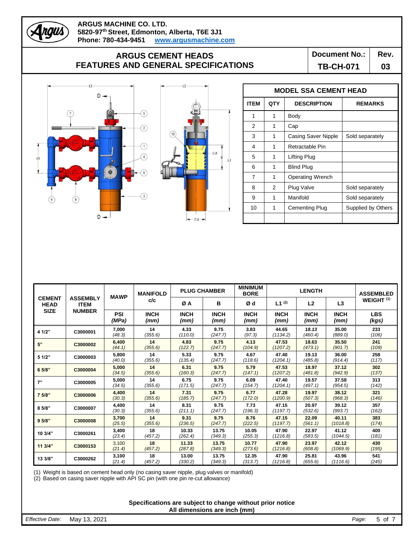# **ARGUS CEMENT HEADS FEATURES AND GENERAL SPECIFICATIONS**

**Document No.:** | Rev.

**TB-CH-071 03**



raus



r

|             | <b>MODEL SSA CEMENT HEAD</b> |                         |                    |  |  |  |  |  |  |  |
|-------------|------------------------------|-------------------------|--------------------|--|--|--|--|--|--|--|
| <b>ITEM</b> | <b>QTY</b>                   | <b>DESCRIPTION</b>      | <b>REMARKS</b>     |  |  |  |  |  |  |  |
| 1           | 1                            | Body                    |                    |  |  |  |  |  |  |  |
| 2           | 1                            | Cap                     |                    |  |  |  |  |  |  |  |
| 3           | 1                            | Casing Saver Nipple     | Sold separately    |  |  |  |  |  |  |  |
| 4           | 1                            | Retractable Pin         |                    |  |  |  |  |  |  |  |
| 5           | 1                            | Lifting Plug            |                    |  |  |  |  |  |  |  |
| 6           | 1                            | <b>Blind Plug</b>       |                    |  |  |  |  |  |  |  |
| 7           | 1                            | <b>Operating Wrench</b> |                    |  |  |  |  |  |  |  |
| 8           | 2                            | Plug Valve              | Sold separately    |  |  |  |  |  |  |  |
| 9           | 1                            | Manifold                | Sold separately    |  |  |  |  |  |  |  |
| 10          | 1                            | Cementing Plug          | Supplied by Others |  |  |  |  |  |  |  |
|             |                              |                         |                    |  |  |  |  |  |  |  |

|                              |                                | <b>MAWP</b>         | <b>MANIFOLD</b>     | <b>PLUG CHAMBER</b> |                     | <b>MINIMUM</b><br><b>BORE</b> | <b>LENGTH</b>       |                     |                     | <b>ASSEMBLED</b>      |
|------------------------------|--------------------------------|---------------------|---------------------|---------------------|---------------------|-------------------------------|---------------------|---------------------|---------------------|-----------------------|
| <b>CEMENT</b><br><b>HEAD</b> | <b>ASSEMBLY</b><br><b>ITEM</b> |                     | c/c                 | ØΑ                  | в                   | Ød                            | $L1^{(2)}$          | L <sub>2</sub>      | L3                  | WEIGHT <sup>(1)</sup> |
| <b>SIZE</b>                  | <b>NUMBER</b>                  | <b>PSI</b><br>(MPa) | <b>INCH</b><br>(mm) | <b>INCH</b><br>(mm) | <b>INCH</b><br>(mm) | <b>INCH</b><br>(mm)           | <b>INCH</b><br>(mm) | <b>INCH</b><br>(mm) | <b>INCH</b><br>(mm) | <b>LBS</b><br>(kgs)   |
| 4 1/2"                       | C3000001                       | 7,000<br>(48.3)     | 14<br>(355.6)       | 4.33<br>(110.0)     | 9.75<br>(247.7)     | 3.83<br>(97.3)                | 44.65<br>(1134.2)   | 18.13<br>(460.4)    | 35.00<br>(889.0)    | 233<br>(106)          |
| 5"                           | C3000002                       | 6,400<br>(44.1)     | 14<br>(355.6)       | 4.83<br>(122.7)     | 9.75<br>(247.7)     | 4.13<br>(104.9)               | 47.53<br>(1207.2)   | 18.63<br>(473.1)    | 35.50<br>(901.7)    | 241<br>(109)          |
| 5 1/2"                       | C3000003                       | 5,800<br>(40.0)     | 14<br>(355.6)       | 5.33<br>(135.4)     | 9.75<br>(247.7)     | 4.67<br>(118.6)               | 47.40<br>(1204.1)   | 19.13<br>(485.8)    | 36.00<br>(914.4)    | 258<br>(117)          |
| 6 5/8"                       | C3000004                       | 5,000<br>(34.5)     | 14<br>(355.6)       | 6.31<br>(160.3)     | 9.75<br>(247.7)     | 5.79<br>(147.1)               | 47.53<br>(1207.2)   | 18.97<br>(481.8)    | 37.12<br>(942.9)    | 302<br>(137)          |
| 7"                           | C3000005                       | 5,000<br>(34.5)     | 14<br>(355.6)       | 6.75<br>(171.5)     | 9.75<br>(247.7)     | 6.09<br>(154.7)               | 47.40<br>(1204.1)   | 19.57<br>(497.1)    | 37.58<br>(954.5)    | 313<br>(142)          |
| 7 5/8"                       | C3000006                       | 4,400<br>(30.3)     | 14<br>(355.6)       | 7.31<br>(185.7)     | 9.75<br>(247.7)     | 6.77<br>(172.0)               | 47.28<br>(1200.9)   | 19.97<br>(507.3)    | 38.12<br>(968.3)    | 321<br>(146)          |
| 85/8"                        | C3000007                       | 4,400<br>(30.3)     | 14<br>(355.6)       | 8.31<br>(211.1)     | 9.75<br>(247.7)     | 7.73<br>(196.3)               | 47.15<br>(1197.7)   | 20.97<br>(532.6)    | 39.12<br>(993.7)    | 357<br>(162)          |
| 95/8"                        | C3000008                       | 3,700<br>(25.5)     | 14<br>(355.6)       | 9.31<br>(236.5)     | 9.75<br>(247.7)     | 8.76<br>(222.5)               | 47.15<br>(1197.7)   | 22.09<br>(561.1)    | 40.11<br>(1018.8)   | 383<br>(174)          |
| 10 3/4"                      | C3000261                       | 3,400<br>(23.4)     | 18<br>(457.2)       | 10.33<br>(262.4)    | 13.75<br>(349.3)    | 10.05<br>(255.3)              | 47.90<br>(1216.8)   | 22.97<br>(583.5)    | 41.12<br>(1044.5)   | 400<br>(181)          |
| 113/4"                       | C3000153                       | 3,100<br>(21.4)     | 18<br>(457.2)       | 11.33<br>(287.8)    | 13.75<br>(349.3)    | 10.77<br>(273.6)              | 47.90<br>(1216.8)   | 23.97<br>(608.8)    | 42.12<br>(1069.9)   | 430<br>(195)          |
| 13 3/8"                      | C3000262                       | 3,100<br>(21.4)     | 18<br>(457.2)       | 13.00<br>(330.2)    | 13.75<br>(349.3)    | 12.35<br>(313.7)              | 47.90<br>(1216.8)   | 25.81<br>(655.6)    | 43.96<br>(1116.6)   | 541<br>(245)          |

(1) Weight is based on cement head only (no casing saver nipple, plug valves or manifold)

(2) Based on casing saver nipple with API SC pin (with one pin re-cut allowance)

**Specifications are subject to change without prior notice All dimensions are inch (mm)**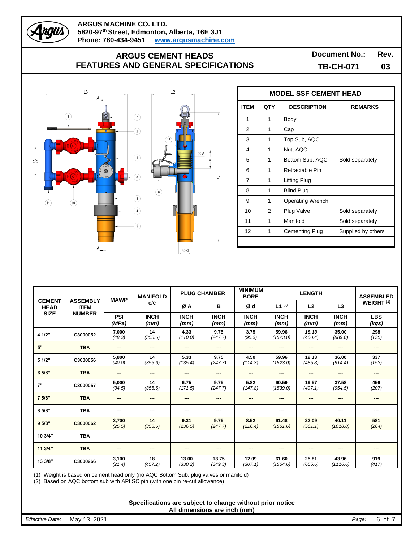

## **ARGUS CEMENT HEADS FEATURES AND GENERAL SPECIFICATIONS**

**Document No.:** | Rev.

**TB-CH-071 03**



|                | <b>MODEL SSF CEMENT HEAD</b> |                         |                    |  |  |  |  |  |  |
|----------------|------------------------------|-------------------------|--------------------|--|--|--|--|--|--|
| <b>ITEM</b>    | <b>QTY</b>                   | <b>DESCRIPTION</b>      | <b>REMARKS</b>     |  |  |  |  |  |  |
| 1              | 1                            | <b>Body</b>             |                    |  |  |  |  |  |  |
| 2              | 1                            | Cap                     |                    |  |  |  |  |  |  |
| 3              | 1                            | Top Sub, AQC            |                    |  |  |  |  |  |  |
| 4              | 1                            | Nut, AQC                |                    |  |  |  |  |  |  |
| 5              | 1                            | Bottom Sub, AQC         | Sold separately    |  |  |  |  |  |  |
| 6              | 1                            | Retractable Pin         |                    |  |  |  |  |  |  |
| $\overline{7}$ | 1                            | Lifting Plug            |                    |  |  |  |  |  |  |
| 8              | 1                            | <b>Blind Plug</b>       |                    |  |  |  |  |  |  |
| 9              | 1                            | <b>Operating Wrench</b> |                    |  |  |  |  |  |  |
| 10             | 2                            | Plug Valve              | Sold separately    |  |  |  |  |  |  |
| 11             | 1                            | Manifold                | Sold separately    |  |  |  |  |  |  |
| 12             | 1                            | Cementing Plug          | Supplied by others |  |  |  |  |  |  |
|                |                              |                         |                    |  |  |  |  |  |  |

|                              |                                |                        | <b>MANIFOLD</b><br><b>MAWP</b> |                     | <b>MINIMUM</b><br><b>PLUG CHAMBER</b> |                     | <b>LENGTH</b>       |                        |                     | <b>ASSEMBLED</b>      |
|------------------------------|--------------------------------|------------------------|--------------------------------|---------------------|---------------------------------------|---------------------|---------------------|------------------------|---------------------|-----------------------|
| <b>CEMENT</b><br><b>HEAD</b> | <b>ASSEMBLY</b><br><b>ITEM</b> |                        | c/c                            | ØA                  | в                                     | Ød                  | $L1^{(2)}$          | L2                     | L3                  | WEIGHT <sup>(1)</sup> |
| <b>SIZE</b>                  | <b>NUMBER</b>                  | <b>PSI</b><br>(MPa)    | <b>INCH</b><br>(mm)            | <b>INCH</b><br>(mm) | <b>INCH</b><br>(mm)                   | <b>INCH</b><br>(mm) | <b>INCH</b><br>(mm) | <b>INCH</b><br>(mm)    | <b>INCH</b><br>(mm) | <b>LBS</b><br>(kgs)   |
| 4 1/2"                       | C3000052                       | 7,000<br>(48.3)        | 14<br>(355.6)                  | 4.33<br>(110.0)     | 9.75<br>(247.7)                       | 3.75<br>(95.3)      | 59.96<br>(1523.0)   | 18.13<br>(460.4)       | 35.00<br>(889.0)    | 298<br>(135)          |
| 5"                           | <b>TBA</b>                     | $\qquad \qquad \cdots$ | ---                            | ---                 | ---                                   | ---                 | $\cdots$            | ---                    | ---                 | ---                   |
| 5 1/2"                       | C3000056                       | 5,800<br>(40.0)        | 14<br>(355.6)                  | 5.33<br>(135.4)     | 9.75<br>(247.7)                       | 4.50<br>(114.3)     | 59.96<br>(1523.0)   | 19.13<br>(485.8)       | 36.00<br>(914.4)    | 337<br>(153)          |
| 6 5/8"                       | <b>TBA</b>                     | ---                    |                                | ---                 |                                       |                     |                     |                        |                     | ---                   |
| 7"                           | C3000057                       | 5,000<br>(34.5)        | 14<br>(355.6)                  | 6.75<br>(171.5)     | 9.75<br>(247.7)                       | 5.82<br>(147.8)     | 60.59<br>(1539.0)   | 19.57<br>(497.1)       | 37.58<br>(954.5)    | 456<br>(207)          |
| 7 5/8"                       | <b>TBA</b>                     | $\qquad \qquad \cdots$ | ---                            | ---                 | ---                                   | ---                 | $\cdots$            | $\qquad \qquad \cdots$ | ---                 | ---                   |
| 8 5/8"                       | <b>TBA</b>                     | $\cdots$               | $---$                          | ---                 | ---                                   | ---                 | $---$               | ---                    | ---                 | ---                   |
| 9.5/8"                       | C3000062                       | 3,700<br>(25.5)        | 14<br>(355.6)                  | 9.31<br>(236.5)     | 9.75<br>(247.7)                       | 8.52<br>(216.4)     | 61.48<br>(1561.6)   | 22.09<br>(561.1)       | 40.11<br>(1018.8)   | 581<br>(264)          |
| 10 3/4"                      | <b>TBA</b>                     | $--$                   | ---                            | ---                 |                                       | ---                 |                     |                        |                     |                       |
| 113/4"                       | <b>TBA</b>                     | $\qquad \qquad \cdots$ | ---                            | ---                 | ---                                   | ---                 | ---                 | ---                    | ---                 | ---                   |
| 13 3/8"                      | C3000266                       | 3,100<br>(21.4)        | 18<br>(457.2)                  | 13.00<br>(330.2)    | 13.75<br>(349.3)                      | 12.09<br>(307.1)    | 61.60<br>(1564.6)   | 25.81<br>(655.6)       | 43.96<br>(1116.6)   | 919<br>(417)          |

(1) Weight is based on cement head only (no AQC Bottom Sub, plug valves or manifold)

(2) Based on AQC bottom sub with API SC pin (with one pin re-cut allowance)

**Specifications are subject to change without prior notice All dimensions are inch (mm)**